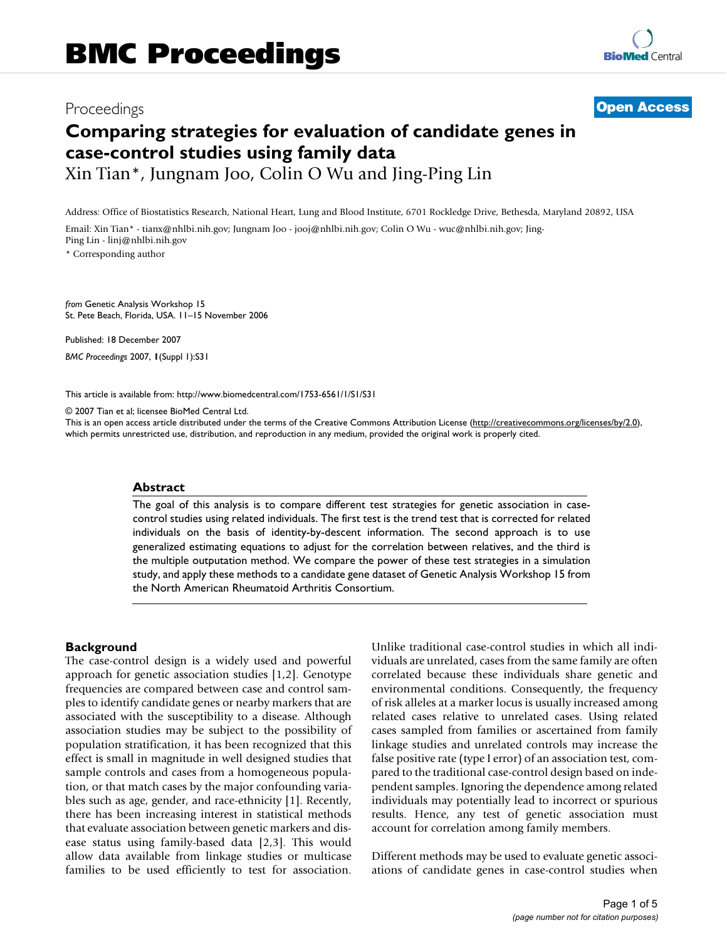# Proceedings **[Open Access](http://www.biomedcentral.com/info/about/charter/)**

# **Comparing strategies for evaluation of candidate genes in case-control studies using family data** Xin Tian\*, Jungnam Joo, Colin O Wu and Jing-Ping Lin

Address: Office of Biostatistics Research, National Heart, Lung and Blood Institute, 6701 Rockledge Drive, Bethesda, Maryland 20892, USA

Email: Xin Tian\* - tianx@nhlbi.nih.gov; Jungnam Joo - jooj@nhlbi.nih.gov; Colin O Wu - wuc@nhlbi.nih.gov; Jing-Ping Lin - linj@nhlbi.nih.gov

\* Corresponding author

*from* Genetic Analysis Workshop 15 St. Pete Beach, Florida, USA. 11–15 November 2006

Published: 18 December 2007 *BMC Proceedings* 2007, **1**(Suppl 1):S31

[This article is available from: http://www.biomedcentral.com/1753-6561/1/S1/S31](http://www.biomedcentral.com/1753-6561/1/S1/S31)

© 2007 Tian et al; licensee BioMed Central Ltd.

This is an open access article distributed under the terms of the Creative Commons Attribution License [\(http://creativecommons.org/licenses/by/2.0\)](http://creativecommons.org/licenses/by/2.0), which permits unrestricted use, distribution, and reproduction in any medium, provided the original work is properly cited.

#### **Abstract**

The goal of this analysis is to compare different test strategies for genetic association in casecontrol studies using related individuals. The first test is the trend test that is corrected for related individuals on the basis of identity-by-descent information. The second approach is to use generalized estimating equations to adjust for the correlation between relatives, and the third is the multiple outputation method. We compare the power of these test strategies in a simulation study, and apply these methods to a candidate gene dataset of Genetic Analysis Workshop 15 from the North American Rheumatoid Arthritis Consortium.

#### **Background**

The case-control design is a widely used and powerful approach for genetic association studies [1,2]. Genotype frequencies are compared between case and control samples to identify candidate genes or nearby markers that are associated with the susceptibility to a disease. Although association studies may be subject to the possibility of population stratification, it has been recognized that this effect is small in magnitude in well designed studies that sample controls and cases from a homogeneous population, or that match cases by the major confounding variables such as age, gender, and race-ethnicity [1]. Recently, there has been increasing interest in statistical methods that evaluate association between genetic markers and disease status using family-based data [2,3]. This would allow data available from linkage studies or multicase families to be used efficiently to test for association. Unlike traditional case-control studies in which all individuals are unrelated, cases from the same family are often correlated because these individuals share genetic and environmental conditions. Consequently, the frequency of risk alleles at a marker locus is usually increased among related cases relative to unrelated cases. Using related cases sampled from families or ascertained from family linkage studies and unrelated controls may increase the false positive rate (type I error) of an association test, compared to the traditional case-control design based on independent samples. Ignoring the dependence among related individuals may potentially lead to incorrect or spurious results. Hence, any test of genetic association must account for correlation among family members.

Different methods may be used to evaluate genetic associations of candidate genes in case-control studies when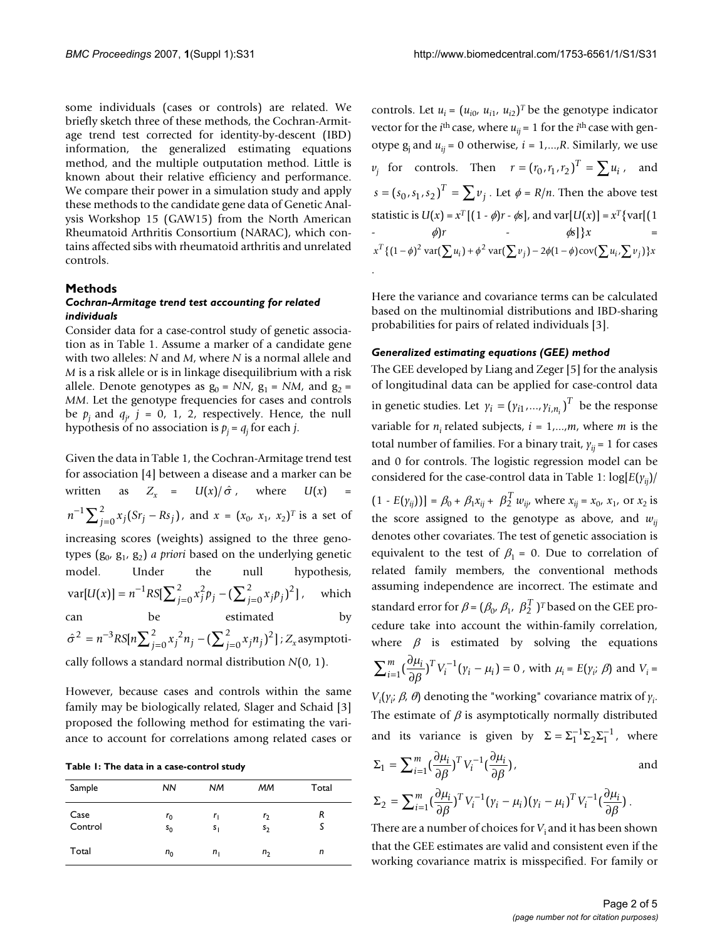some individuals (cases or controls) are related. We briefly sketch three of these methods, the Cochran-Armitage trend test corrected for identity-by-descent (IBD) information, the generalized estimating equations method, and the multiple outputation method. Little is known about their relative efficiency and performance. We compare their power in a simulation study and apply these methods to the candidate gene data of Genetic Analysis Workshop 15 (GAW15) from the North American Rheumatoid Arthritis Consortium (NARAC), which contains affected sibs with rheumatoid arthritis and unrelated controls.

# **Methods**

# *Cochran-Armitage trend test accounting for related individuals*

Consider data for a case-control study of genetic association as in Table 1. Assume a marker of a candidate gene with two alleles: *N* and *M*, where *N* is a normal allele and *M* is a risk allele or is in linkage disequilibrium with a risk allele. Denote genotypes as  $g_0 = NN$ ,  $g_1 = NM$ , and  $g_2 =$ *MM*. Let the genotype frequencies for cases and controls be  $p_j$  and  $q_{j'}$   $j = 0, 1, 2$ , respectively. Hence, the null hypothesis of no association is  $p_i = q_i$  for each *j*.

Given the data in Table 1, the Cochran-Armitage trend test for association [4] between a disease and a marker can be written as  $Z_x = U(x)/\hat{\sigma}$ , where  $U(x) =$  $n^{-1} \sum_{j=0}^{2} x_j (Sr_j - Rs_j)$ , and  $x = (x_0, x_1, x_2)^T$  is a set of increasing scores (weights) assigned to the three genotypes  $(g_0, g_1, g_2)$  *a priori* based on the underlying genetic model. Under the null hypothesis, which can be estimated by  $\hat{\sigma}^2 = n^{-3}RS[n\sum_{j=0}^{2}x_j^{2}n_j - (\sum_{j=0}^{2}x_jn_j)^2]$ ; Z<sub>x</sub> asymptotically follows a standard normal distribution *N*(0, 1).  $var[U(x)] = n^{-1}RS[\sum_{j=0}^{2}x_{j}^{2}p_{j} - (\sum_{j=0}^{2}x_{j}p_{j})^{2}]$ 0 2  $(x, t)$ <sup>2</sup> 0 2 2  $(x, n)$ <sup>2</sup>  $= n^{-3}RS[n\sum_{j=0}^{2}x_j^{2}n_j - (\sum_{j=0}^{2}x_jn_j)]$ 

However, because cases and controls within the same family may be biologically related, Slager and Schaid [3] proposed the following method for estimating the variance to account for correlations among related cases or

**Table 1: The data in a case-control study**

| Sample          | <b>NN</b>      | <b>NM</b>                 | MМ                               | Total |
|-----------------|----------------|---------------------------|----------------------------------|-------|
| Case<br>Control | $r_0$<br>$s_0$ | $r_{1}$<br>s <sub>1</sub> | r <sub>2</sub><br>s <sub>2</sub> | R     |
| Total           | $n_0$          | n,                        | n <sub>2</sub>                   | n     |

controls. Let  $u_i = (u_{i0}, u_{i1}, u_{i2})^T$  be the genotype indicator vector for the *i*<sup>th</sup> case, where  $u_{ii} = 1$  for the *i*<sup>th</sup> case with genotype  $g_i$  and  $u_{ii} = 0$  otherwise,  $i = 1,...,R$ . Similarly, we use  $v_j$  for controls. Then  $r = (r_0, r_1, r_2)^T = \sum u_i$ , and  $s = (s_0, s_1, s_2)^T = \sum v_j$ . Let  $\phi = R/n$ . Then the above test statistic is  $U(x) = x^T[(1 - \phi)r - \phi s]$ , and var $U(x) = x^T\{var[1]$ - φ)*r* - φ*s*]}*x* = .  $x^T \{ (1-\phi)^2 \text{ var}(\sum u_i) + \phi^2 \text{ var}(\sum v_i) - 2\phi(1-\phi) \text{ cov}(\sum u_i, \sum v_i) \} x$ 

Here the variance and covariance terms can be calculated based on the multinomial distributions and IBD-sharing probabilities for pairs of related individuals [3].

#### *Generalized estimating equations (GEE) method*

The GEE developed by Liang and Zeger [5] for the analysis of longitudinal data can be applied for case-control data in genetic studies. Let  $\gamma_i = (\gamma_{i1}, ..., \gamma_{i,n_i})^T$  be the response variable for  $n_i$  related subjects,  $i = 1,...,m$ , where *m* is the total number of families. For a binary trait,  $\gamma_{ii} = 1$  for cases and 0 for controls. The logistic regression model can be considered for the case-control data in Table 1: log[*E*(*yij*)/  $(1 - E(y_{ij}))$  =  $\beta_0 + \beta_1 x_{ij} + \beta_2^T w_{ij}$ , where  $x_{ij} = x_0$ ,  $x_1$ , or  $x_2$  is the score assigned to the genotype as above, and  $w_{ii}$ denotes other covariates. The test of genetic association is equivalent to the test of  $\beta_1 = 0$ . Due to correlation of related family members, the conventional methods assuming independence are incorrect. The estimate and standard error for  $\beta = (\beta_0, \beta_1, \beta_2^T)^T$  based on the GEE procedure take into account the within-family correlation, where  $\beta$  is estimated by solving the equations  $\sum_{i=1}^{m} \left(\frac{\partial \mu_i}{\partial \beta}\right)^T V_i^{-1} (\gamma_i - \mu_i) = 0$ , with  $\mu_i = E(\gamma_i; \beta)$  and  $V_i =$ *V*<sub>*i*</sub>( $y$ <sub>*i</sub>*, *β*, *θ*) denoting the "working" covariance matrix of  $y$ <sub>*i*</sub>.</sub> The estimate of  $\beta$  is asymptotically normally distributed and its variance is given by  $\Sigma = \Sigma_1^{-1} \Sigma_2 \Sigma_1^{-1}$ , where , and  $\Sigma_1 = \sum_{i=1}^m (\frac{\partial \mu_i}{\partial \beta})^T V_i^{-1}$ ∂  $\sum_{i=1}^m(\frac{\partial\mu_i}{\partial\beta})^TV_i^{-1}(\frac{\partial\mu_i}{\partial\beta})$ μ β  $\sum_{i=1}^{m} \left(\frac{\partial \mu_i}{\partial \beta}\right)^T V_i^{-1} \left(\frac{\partial \mu_i}{\partial \beta}\right)$ 

$$
\Sigma_2 = \sum\nolimits_{i=1}^m (\frac{\partial \mu_i}{\partial \beta})^T V_i^{-1} \big( \gamma_i - \mu_i \big) \big( \gamma_i - \mu_i \big)^T V_i^{-1} \big( \frac{\partial \mu_i}{\partial \beta} \big) \, .
$$

There are a number of choices for  $V_i$  and it has been shown that the GEE estimates are valid and consistent even if the working covariance matrix is misspecified. For family or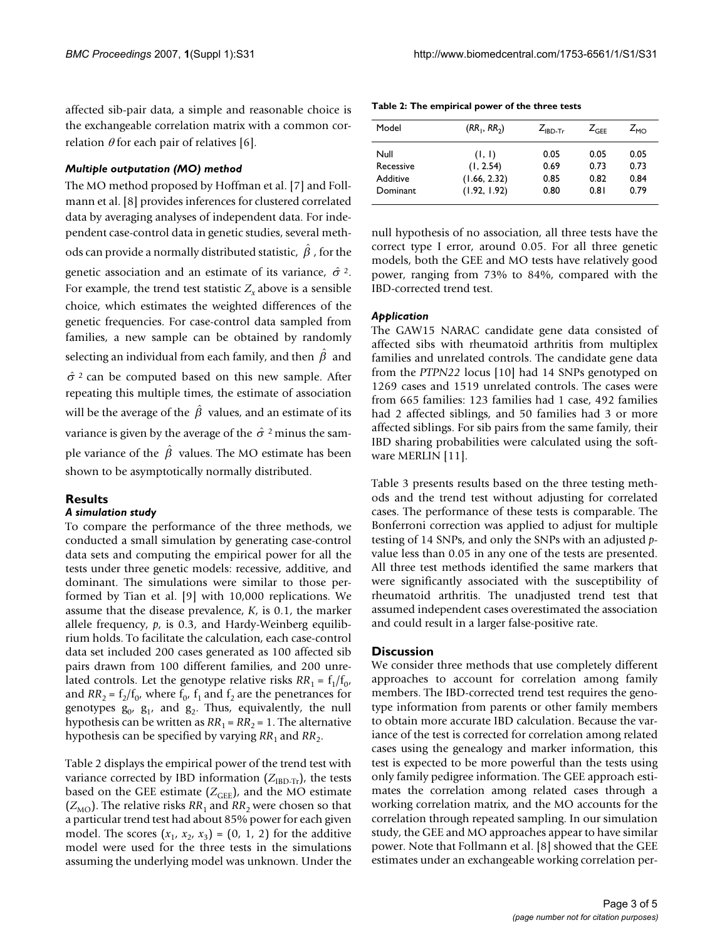affected sib-pair data, a simple and reasonable choice is the exchangeable correlation matrix with a common correlation  $\theta$  for each pair of relatives [6].

# *Multiple outputation (MO) method*

The MO method proposed by Hoffman et al. [7] and Follmann et al. [8] provides inferences for clustered correlated data by averaging analyses of independent data. For independent case-control data in genetic studies, several methods can provide a normally distributed statistic,  $\,\hat{\beta}\,$  , for the genetic association and an estimate of its variance,  $\hat{\sigma}^2$ . For example, the trend test statistic  $Z<sub>x</sub>$  above is a sensible choice, which estimates the weighted differences of the genetic frequencies. For case-control data sampled from families, a new sample can be obtained by randomly selecting an individual from each family, and then  $\,\hat{\beta}\,$  and  $\hat{\sigma}$ <sup>2</sup> can be computed based on this new sample. After repeating this multiple times, the estimate of association will be the average of the  $\,\hat\beta\,$  values, and an estimate of its variance is given by the average of the  $\hat{\sigma}$  <sup>2</sup> minus the sample variance of the  $\hat{\beta}$  values. The MO estimate has been shown to be asymptotically normally distributed.

# **Results**

#### *A simulation study*

To compare the performance of the three methods, we conducted a small simulation by generating case-control data sets and computing the empirical power for all the tests under three genetic models: recessive, additive, and dominant. The simulations were similar to those performed by Tian et al. [9] with 10,000 replications. We assume that the disease prevalence, *K*, is 0.1, the marker allele frequency, *p*, is 0.3, and Hardy-Weinberg equilibrium holds. To facilitate the calculation, each case-control data set included 200 cases generated as 100 affected sib pairs drawn from 100 different families, and 200 unrelated controls. Let the genotype relative risks  $RR_1 = f_1/f_0$ , and  $RR_2 = f_2/f_0$ , where  $f_0$ ,  $f_1$  and  $f_2$  are the penetrances for genotypes  $g_0$ ,  $g_1$ , and  $g_2$ . Thus, equivalently, the null hypothesis can be written as  $RR_1 = RR_2 = 1$ . The alternative hypothesis can be specified by varying  $RR_1$  and  $RR_2$ .

Table 2 displays the empirical power of the trend test with variance corrected by IBD information  $(Z_{IBD-Tr})$ , the tests based on the GEE estimate  $(Z<sub>GEE</sub>)$ , and the MO estimate  $(Z_{\text{MO}})$ . The relative risks  $RR_1$  and  $RR_2$  were chosen so that a particular trend test had about 85% power for each given model. The scores  $(x_1, x_2, x_3) = (0, 1, 2)$  for the additive model were used for the three tests in the simulations assuming the underlying model was unknown. Under the

| Model     | $(RR_1, RR_2)$ | $Z_{IBD.Tr}$ | $\angle$ GFF | $Z_{MO}$ |
|-----------|----------------|--------------|--------------|----------|
| Null      | (1, 1)         | 0.05         | 0.05         | 0.05     |
| Recessive | (1, 2.54)      | 0.69         | 0.73         | 0.73     |
| Additive  | (1.66, 2.32)   | 0.85         | 0.82         | 0.84     |
| Dominant  | (1.92, 1.92)   | 0.80         | 0.81         | 0.79     |

null hypothesis of no association, all three tests have the correct type I error, around 0.05. For all three genetic models, both the GEE and MO tests have relatively good power, ranging from 73% to 84%, compared with the IBD-corrected trend test.

### *Application*

The GAW15 NARAC candidate gene data consisted of affected sibs with rheumatoid arthritis from multiplex families and unrelated controls. The candidate gene data from the *PTPN22* locus [10] had 14 SNPs genotyped on 1269 cases and 1519 unrelated controls. The cases were from 665 families: 123 families had 1 case, 492 families had 2 affected siblings, and 50 families had 3 or more affected siblings. For sib pairs from the same family, their IBD sharing probabilities were calculated using the software MERLIN [11].

Table 3 presents results based on the three testing methods and the trend test without adjusting for correlated cases. The performance of these tests is comparable. The Bonferroni correction was applied to adjust for multiple testing of 14 SNPs, and only the SNPs with an adjusted *p*value less than 0.05 in any one of the tests are presented. All three test methods identified the same markers that were significantly associated with the susceptibility of rheumatoid arthritis. The unadjusted trend test that assumed independent cases overestimated the association and could result in a larger false-positive rate.

#### **Discussion**

We consider three methods that use completely different approaches to account for correlation among family members. The IBD-corrected trend test requires the genotype information from parents or other family members to obtain more accurate IBD calculation. Because the variance of the test is corrected for correlation among related cases using the genealogy and marker information, this test is expected to be more powerful than the tests using only family pedigree information. The GEE approach estimates the correlation among related cases through a working correlation matrix, and the MO accounts for the correlation through repeated sampling. In our simulation study, the GEE and MO approaches appear to have similar power. Note that Follmann et al. [8] showed that the GEE estimates under an exchangeable working correlation per-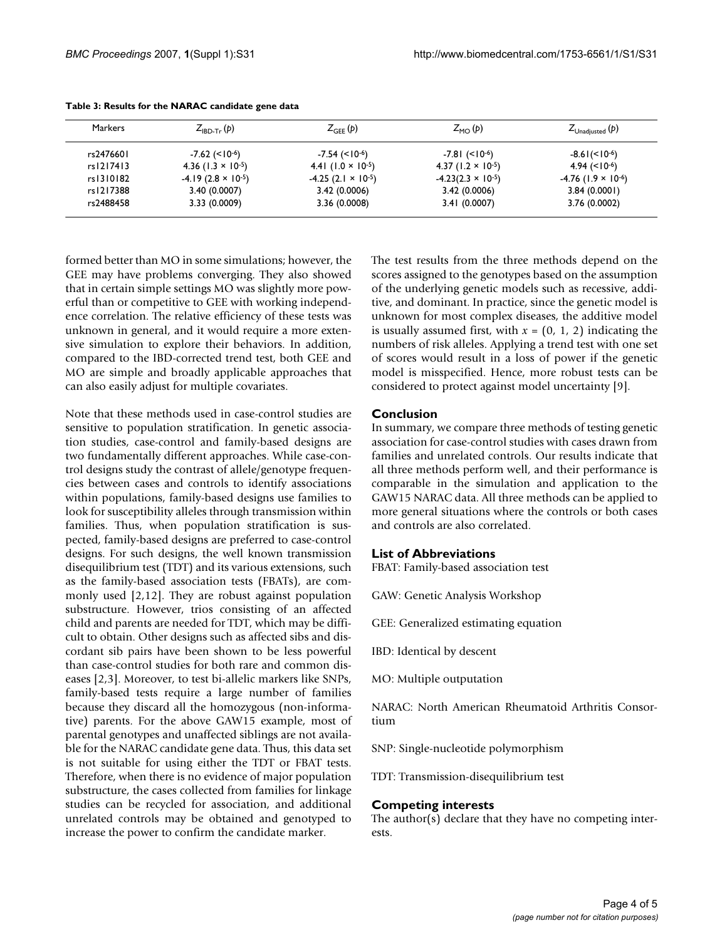| <b>Markers</b> | $Z_{\text{IBD-Tr}}(p)$                | $Z_{GFF}(p)$                      | $Z_{MO}(p)$                  | $Z_{\text{Undjusted}}(p)$                |
|----------------|---------------------------------------|-----------------------------------|------------------------------|------------------------------------------|
| rs2476601      | $-7.62$ (<10 <sup>-6</sup> )          | $-7.54$ ( $< 10^{-6}$ )           | $-7.81$ (<10 <sup>-6</sup> ) | $-8.61 \times 10^{-6}$                   |
| rs1217413      | 4.36 (1.3 $\times$ 10 <sup>-5</sup> ) | 4.41 $(1.0 \times 10^{-5})$       | $4.37(1.2 \times 10^{-5})$   | $4.94 \left( \leq 10^{-6} \right)$       |
| rs1310182      | $-4.19(2.8 \times 10^{-5})$           | $-4.25$ (2.1 × 10 <sup>-5</sup> ) | $-4.23(2.3 \times 10^{-5})$  | $-4.76$ (1.9 $\times$ 10 <sup>-6</sup> ) |
| rs1217388      | 3.40(0.0007)                          | 3.42(0.0006)                      | 3.42(0.0006)                 | 3.84(0.0001)                             |
| rs2488458      | 3.33(0.0009)                          | 3.36(0.0008)                      | 3.41(0.0007)                 | 3.76 (0.0002)                            |

**Table 3: Results for the NARAC candidate gene data**

formed better than MO in some simulations; however, the GEE may have problems converging. They also showed that in certain simple settings MO was slightly more powerful than or competitive to GEE with working independence correlation. The relative efficiency of these tests was unknown in general, and it would require a more extensive simulation to explore their behaviors. In addition, compared to the IBD-corrected trend test, both GEE and MO are simple and broadly applicable approaches that can also easily adjust for multiple covariates.

Note that these methods used in case-control studies are sensitive to population stratification. In genetic association studies, case-control and family-based designs are two fundamentally different approaches. While case-control designs study the contrast of allele/genotype frequencies between cases and controls to identify associations within populations, family-based designs use families to look for susceptibility alleles through transmission within families. Thus, when population stratification is suspected, family-based designs are preferred to case-control designs. For such designs, the well known transmission disequilibrium test (TDT) and its various extensions, such as the family-based association tests (FBATs), are commonly used [2,12]. They are robust against population substructure. However, trios consisting of an affected child and parents are needed for TDT, which may be difficult to obtain. Other designs such as affected sibs and discordant sib pairs have been shown to be less powerful than case-control studies for both rare and common diseases [2,3]. Moreover, to test bi-allelic markers like SNPs, family-based tests require a large number of families because they discard all the homozygous (non-informative) parents. For the above GAW15 example, most of parental genotypes and unaffected siblings are not available for the NARAC candidate gene data. Thus, this data set is not suitable for using either the TDT or FBAT tests. Therefore, when there is no evidence of major population substructure, the cases collected from families for linkage studies can be recycled for association, and additional unrelated controls may be obtained and genotyped to increase the power to confirm the candidate marker.

The test results from the three methods depend on the scores assigned to the genotypes based on the assumption of the underlying genetic models such as recessive, additive, and dominant. In practice, since the genetic model is unknown for most complex diseases, the additive model is usually assumed first, with  $x = (0, 1, 2)$  indicating the numbers of risk alleles. Applying a trend test with one set of scores would result in a loss of power if the genetic model is misspecified. Hence, more robust tests can be considered to protect against model uncertainty [9].

# **Conclusion**

In summary, we compare three methods of testing genetic association for case-control studies with cases drawn from families and unrelated controls. Our results indicate that all three methods perform well, and their performance is comparable in the simulation and application to the GAW15 NARAC data. All three methods can be applied to more general situations where the controls or both cases and controls are also correlated.

# **List of Abbreviations**

FBAT: Family-based association test

GAW: Genetic Analysis Workshop

GEE: Generalized estimating equation

IBD: Identical by descent

MO: Multiple outputation

NARAC: North American Rheumatoid Arthritis Consortium

SNP: Single-nucleotide polymorphism

TDT: Transmission-disequilibrium test

# **Competing interests**

The author(s) declare that they have no competing interests.